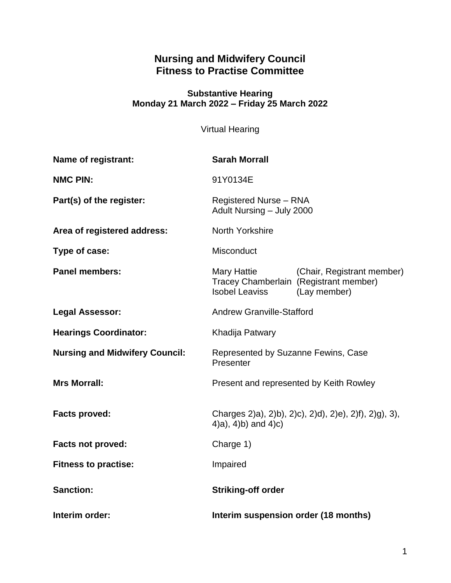# **Nursing and Midwifery Council Fitness to Practise Committee**

#### **Substantive Hearing Monday 21 March 2022 – Friday 25 March 2022**

Virtual Hearing

| Name of registrant:                   | <b>Sarah Morrall</b>                                                                     |                                            |
|---------------------------------------|------------------------------------------------------------------------------------------|--------------------------------------------|
| <b>NMC PIN:</b>                       | 91Y0134E                                                                                 |                                            |
| Part(s) of the register:              | <b>Registered Nurse - RNA</b><br>Adult Nursing - July 2000                               |                                            |
| Area of registered address:           | North Yorkshire                                                                          |                                            |
| Type of case:                         | Misconduct                                                                               |                                            |
| <b>Panel members:</b>                 | Mary Hattie<br>Tracey Chamberlain (Registrant member)<br><b>Isobel Leaviss</b>           | (Chair, Registrant member)<br>(Lay member) |
| <b>Legal Assessor:</b>                | <b>Andrew Granville-Stafford</b>                                                         |                                            |
| <b>Hearings Coordinator:</b>          | Khadija Patwary                                                                          |                                            |
| <b>Nursing and Midwifery Council:</b> | Represented by Suzanne Fewins, Case<br>Presenter                                         |                                            |
| <b>Mrs Morrall:</b>                   | Present and represented by Keith Rowley                                                  |                                            |
| <b>Facts proved:</b>                  | Charges 2)a), 2)b), 2)c), 2)d), 2)e), 2)f), 2)g), 3),<br>$(4)$ a), $(4)$ b) and $(4)$ c) |                                            |
| Facts not proved:                     | Charge 1)                                                                                |                                            |
| <b>Fitness to practise:</b>           | Impaired                                                                                 |                                            |
| <b>Sanction:</b>                      | <b>Striking-off order</b>                                                                |                                            |
| Interim order:                        | Interim suspension order (18 months)                                                     |                                            |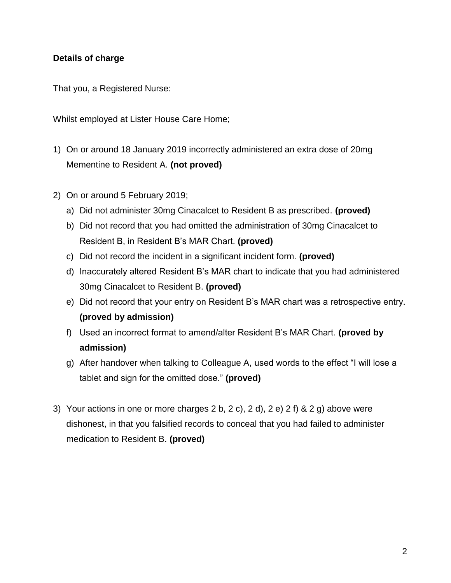# **Details of charge**

That you, a Registered Nurse:

Whilst employed at Lister House Care Home;

- 1) On or around 18 January 2019 incorrectly administered an extra dose of 20mg Mementine to Resident A. **(not proved)**
- 2) On or around 5 February 2019;
	- a) Did not administer 30mg Cinacalcet to Resident B as prescribed. **(proved)**
	- b) Did not record that you had omitted the administration of 30mg Cinacalcet to Resident B, in Resident B's MAR Chart. **(proved)**
	- c) Did not record the incident in a significant incident form. **(proved)**
	- d) Inaccurately altered Resident B's MAR chart to indicate that you had administered 30mg Cinacalcet to Resident B. **(proved)**
	- e) Did not record that your entry on Resident B's MAR chart was a retrospective entry. **(proved by admission)**
	- f) Used an incorrect format to amend/alter Resident B's MAR Chart. **(proved by admission)**
	- g) After handover when talking to Colleague A, used words to the effect "I will lose a tablet and sign for the omitted dose." **(proved)**
- 3) Your actions in one or more charges 2 b, 2 c), 2 d), 2 e) 2 f) & 2 g) above were dishonest, in that you falsified records to conceal that you had failed to administer medication to Resident B. **(proved)**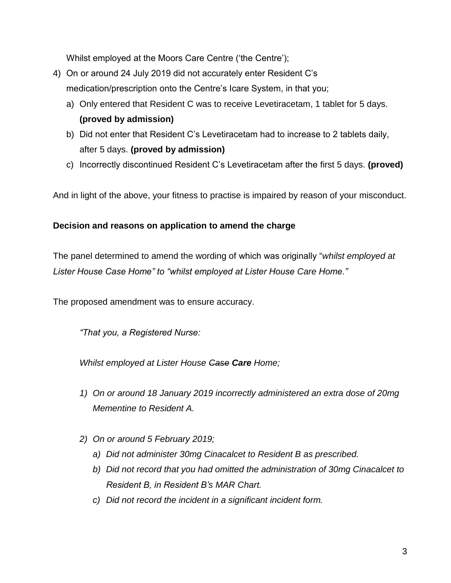Whilst employed at the Moors Care Centre ('the Centre');

- 4) On or around 24 July 2019 did not accurately enter Resident C's medication/prescription onto the Centre's Icare System, in that you;
	- a) Only entered that Resident C was to receive Levetiracetam, 1 tablet for 5 days. **(proved by admission)**
	- b) Did not enter that Resident C's Levetiracetam had to increase to 2 tablets daily, after 5 days. **(proved by admission)**
	- c) Incorrectly discontinued Resident C's Levetiracetam after the first 5 days. **(proved)**

And in light of the above, your fitness to practise is impaired by reason of your misconduct.

## **Decision and reasons on application to amend the charge**

The panel determined to amend the wording of which was originally "*whilst employed at Lister House Case Home" to "whilst employed at Lister House Care Home."*

The proposed amendment was to ensure accuracy.

*"That you, a Registered Nurse:*

*Whilst employed at Lister House Case Care Home;*

- *1) On or around 18 January 2019 incorrectly administered an extra dose of 20mg Mementine to Resident A.*
- *2) On or around 5 February 2019;*
	- *a) Did not administer 30mg Cinacalcet to Resident B as prescribed.*
	- *b) Did not record that you had omitted the administration of 30mg Cinacalcet to Resident B, in Resident B's MAR Chart.*
	- *c) Did not record the incident in a significant incident form.*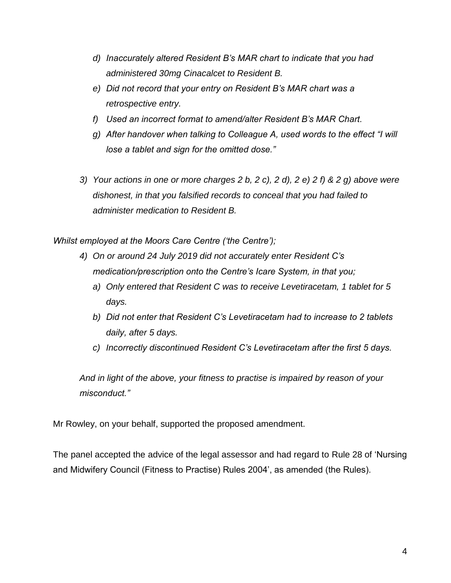- *d) Inaccurately altered Resident B's MAR chart to indicate that you had administered 30mg Cinacalcet to Resident B.*
- *e) Did not record that your entry on Resident B's MAR chart was a retrospective entry.*
- *f) Used an incorrect format to amend/alter Resident B's MAR Chart.*
- *g) After handover when talking to Colleague A, used words to the effect "I will lose a tablet and sign for the omitted dose."*
- *3) Your actions in one or more charges 2 b, 2 c), 2 d), 2 e) 2 f) & 2 g) above were dishonest, in that you falsified records to conceal that you had failed to administer medication to Resident B.*

*Whilst employed at the Moors Care Centre ('the Centre');*

- *4) On or around 24 July 2019 did not accurately enter Resident C's medication/prescription onto the Centre's Icare System, in that you;*
	- *a) Only entered that Resident C was to receive Levetiracetam, 1 tablet for 5 days.*
	- *b) Did not enter that Resident C's Levetiracetam had to increase to 2 tablets daily, after 5 days.*
	- *c) Incorrectly discontinued Resident C's Levetiracetam after the first 5 days.*

*And in light of the above, your fitness to practise is impaired by reason of your misconduct."*

Mr Rowley, on your behalf, supported the proposed amendment.

The panel accepted the advice of the legal assessor and had regard to Rule 28 of 'Nursing and Midwifery Council (Fitness to Practise) Rules 2004', as amended (the Rules).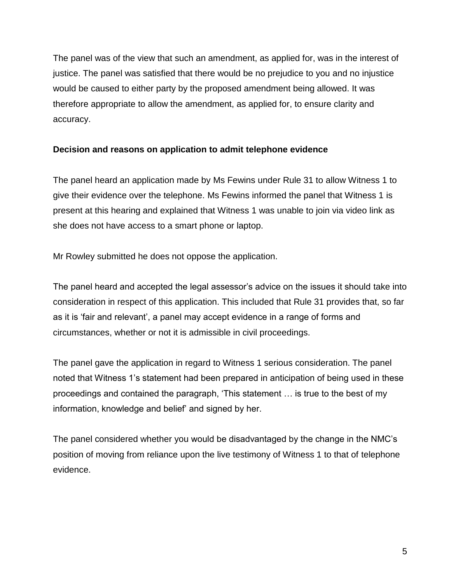The panel was of the view that such an amendment, as applied for, was in the interest of justice. The panel was satisfied that there would be no prejudice to you and no injustice would be caused to either party by the proposed amendment being allowed. It was therefore appropriate to allow the amendment, as applied for, to ensure clarity and accuracy.

## **Decision and reasons on application to admit telephone evidence**

The panel heard an application made by Ms Fewins under Rule 31 to allow Witness 1 to give their evidence over the telephone. Ms Fewins informed the panel that Witness 1 is present at this hearing and explained that Witness 1 was unable to join via video link as she does not have access to a smart phone or laptop.

Mr Rowley submitted he does not oppose the application.

The panel heard and accepted the legal assessor's advice on the issues it should take into consideration in respect of this application. This included that Rule 31 provides that, so far as it is 'fair and relevant', a panel may accept evidence in a range of forms and circumstances, whether or not it is admissible in civil proceedings.

The panel gave the application in regard to Witness 1 serious consideration. The panel noted that Witness 1's statement had been prepared in anticipation of being used in these proceedings and contained the paragraph, 'This statement … is true to the best of my information, knowledge and belief' and signed by her.

The panel considered whether you would be disadvantaged by the change in the NMC's position of moving from reliance upon the live testimony of Witness 1 to that of telephone evidence.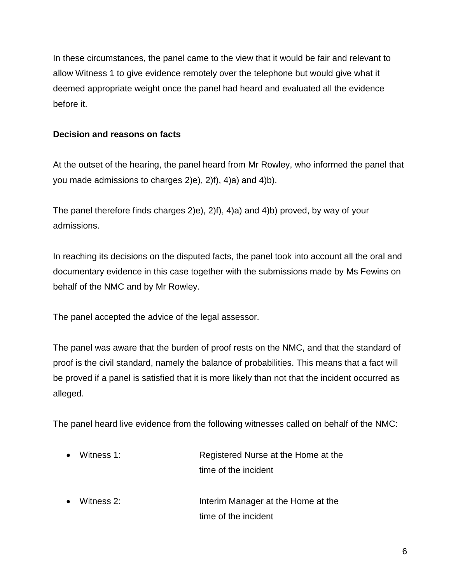In these circumstances, the panel came to the view that it would be fair and relevant to allow Witness 1 to give evidence remotely over the telephone but would give what it deemed appropriate weight once the panel had heard and evaluated all the evidence before it.

## **Decision and reasons on facts**

At the outset of the hearing, the panel heard from Mr Rowley, who informed the panel that you made admissions to charges 2)e), 2)f), 4)a) and 4)b).

The panel therefore finds charges 2)e), 2)f), 4)a) and 4)b) proved, by way of your admissions.

In reaching its decisions on the disputed facts, the panel took into account all the oral and documentary evidence in this case together with the submissions made by Ms Fewins on behalf of the NMC and by Mr Rowley.

The panel accepted the advice of the legal assessor.

The panel was aware that the burden of proof rests on the NMC, and that the standard of proof is the civil standard, namely the balance of probabilities. This means that a fact will be proved if a panel is satisfied that it is more likely than not that the incident occurred as alleged.

The panel heard live evidence from the following witnesses called on behalf of the NMC:

| $\bullet$ Witness 1: | Registered Nurse at the Home at the |  |
|----------------------|-------------------------------------|--|
|                      | time of the incident                |  |
|                      |                                     |  |

 Witness 2: Interim Manager at the Home at the time of the incident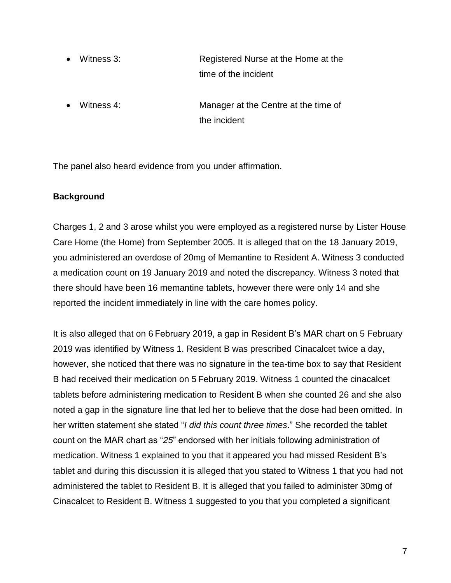- Witness 3: Registered Nurse at the Home at the time of the incident
- Witness 4: Manager at the Centre at the time of the incident

The panel also heard evidence from you under affirmation.

# **Background**

Charges 1, 2 and 3 arose whilst you were employed as a registered nurse by Lister House Care Home (the Home) from September 2005. It is alleged that on the 18 January 2019, you administered an overdose of 20mg of Memantine to Resident A. Witness 3 conducted a medication count on 19 January 2019 and noted the discrepancy. Witness 3 noted that there should have been 16 memantine tablets, however there were only 14 and she reported the incident immediately in line with the care homes policy.

It is also alleged that on 6 February 2019, a gap in Resident B's MAR chart on 5 February 2019 was identified by Witness 1. Resident B was prescribed Cinacalcet twice a day, however, she noticed that there was no signature in the tea-time box to say that Resident B had received their medication on 5 February 2019. Witness 1 counted the cinacalcet tablets before administering medication to Resident B when she counted 26 and she also noted a gap in the signature line that led her to believe that the dose had been omitted. In her written statement she stated "*I did this count three times*." She recorded the tablet count on the MAR chart as "*25*" endorsed with her initials following administration of medication. Witness 1 explained to you that it appeared you had missed Resident B's tablet and during this discussion it is alleged that you stated to Witness 1 that you had not administered the tablet to Resident B. It is alleged that you failed to administer 30mg of Cinacalcet to Resident B. Witness 1 suggested to you that you completed a significant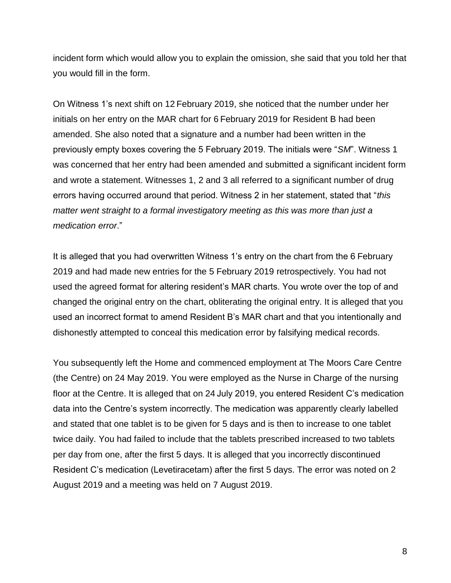incident form which would allow you to explain the omission, she said that you told her that you would fill in the form.

On Witness 1's next shift on 12 February 2019, she noticed that the number under her initials on her entry on the MAR chart for 6 February 2019 for Resident B had been amended. She also noted that a signature and a number had been written in the previously empty boxes covering the 5 February 2019. The initials were "*SM*". Witness 1 was concerned that her entry had been amended and submitted a significant incident form and wrote a statement. Witnesses 1, 2 and 3 all referred to a significant number of drug errors having occurred around that period. Witness 2 in her statement, stated that "*this matter went straight to a formal investigatory meeting as this was more than just a medication error*."

It is alleged that you had overwritten Witness 1's entry on the chart from the 6 February 2019 and had made new entries for the 5 February 2019 retrospectively. You had not used the agreed format for altering resident's MAR charts. You wrote over the top of and changed the original entry on the chart, obliterating the original entry. It is alleged that you used an incorrect format to amend Resident B's MAR chart and that you intentionally and dishonestly attempted to conceal this medication error by falsifying medical records.

You subsequently left the Home and commenced employment at The Moors Care Centre (the Centre) on 24 May 2019. You were employed as the Nurse in Charge of the nursing floor at the Centre. It is alleged that on 24 July 2019, you entered Resident C's medication data into the Centre's system incorrectly. The medication was apparently clearly labelled and stated that one tablet is to be given for 5 days and is then to increase to one tablet twice daily. You had failed to include that the tablets prescribed increased to two tablets per day from one, after the first 5 days. It is alleged that you incorrectly discontinued Resident C's medication (Levetiracetam) after the first 5 days. The error was noted on 2 August 2019 and a meeting was held on 7 August 2019.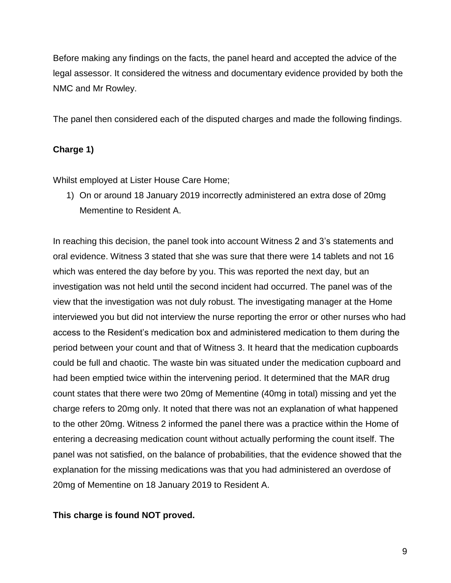Before making any findings on the facts, the panel heard and accepted the advice of the legal assessor. It considered the witness and documentary evidence provided by both the NMC and Mr Rowley.

The panel then considered each of the disputed charges and made the following findings.

#### **Charge 1)**

Whilst employed at Lister House Care Home;

1) On or around 18 January 2019 incorrectly administered an extra dose of 20mg Mementine to Resident A.

In reaching this decision, the panel took into account Witness 2 and 3's statements and oral evidence. Witness 3 stated that she was sure that there were 14 tablets and not 16 which was entered the day before by you. This was reported the next day, but an investigation was not held until the second incident had occurred. The panel was of the view that the investigation was not duly robust. The investigating manager at the Home interviewed you but did not interview the nurse reporting the error or other nurses who had access to the Resident's medication box and administered medication to them during the period between your count and that of Witness 3. It heard that the medication cupboards could be full and chaotic. The waste bin was situated under the medication cupboard and had been emptied twice within the intervening period. It determined that the MAR drug count states that there were two 20mg of Mementine (40mg in total) missing and yet the charge refers to 20mg only. It noted that there was not an explanation of what happened to the other 20mg. Witness 2 informed the panel there was a practice within the Home of entering a decreasing medication count without actually performing the count itself. The panel was not satisfied, on the balance of probabilities, that the evidence showed that the explanation for the missing medications was that you had administered an overdose of 20mg of Mementine on 18 January 2019 to Resident A.

#### **This charge is found NOT proved.**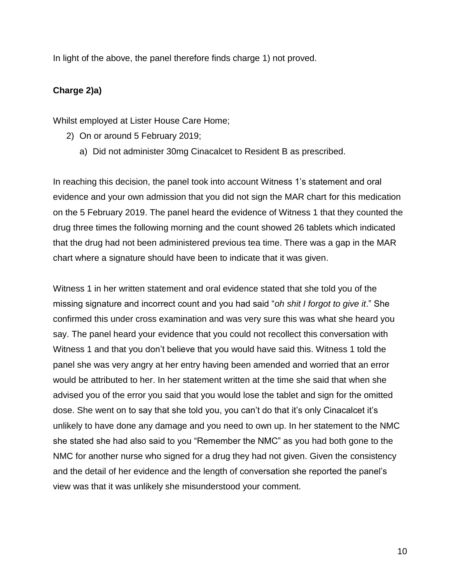In light of the above, the panel therefore finds charge 1) not proved.

## **Charge 2)a)**

Whilst employed at Lister House Care Home;

- 2) On or around 5 February 2019;
	- a) Did not administer 30mg Cinacalcet to Resident B as prescribed.

In reaching this decision, the panel took into account Witness 1's statement and oral evidence and your own admission that you did not sign the MAR chart for this medication on the 5 February 2019. The panel heard the evidence of Witness 1 that they counted the drug three times the following morning and the count showed 26 tablets which indicated that the drug had not been administered previous tea time. There was a gap in the MAR chart where a signature should have been to indicate that it was given.

Witness 1 in her written statement and oral evidence stated that she told you of the missing signature and incorrect count and you had said "*oh shit I forgot to give it*." She confirmed this under cross examination and was very sure this was what she heard you say. The panel heard your evidence that you could not recollect this conversation with Witness 1 and that you don't believe that you would have said this. Witness 1 told the panel she was very angry at her entry having been amended and worried that an error would be attributed to her. In her statement written at the time she said that when she advised you of the error you said that you would lose the tablet and sign for the omitted dose. She went on to say that she told you, you can't do that it's only Cinacalcet it's unlikely to have done any damage and you need to own up. In her statement to the NMC she stated she had also said to you "Remember the NMC" as you had both gone to the NMC for another nurse who signed for a drug they had not given. Given the consistency and the detail of her evidence and the length of conversation she reported the panel's view was that it was unlikely she misunderstood your comment.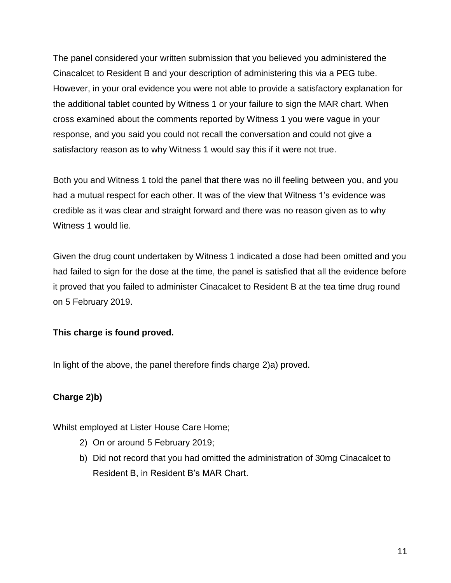The panel considered your written submission that you believed you administered the Cinacalcet to Resident B and your description of administering this via a PEG tube. However, in your oral evidence you were not able to provide a satisfactory explanation for the additional tablet counted by Witness 1 or your failure to sign the MAR chart. When cross examined about the comments reported by Witness 1 you were vague in your response, and you said you could not recall the conversation and could not give a satisfactory reason as to why Witness 1 would say this if it were not true.

Both you and Witness 1 told the panel that there was no ill feeling between you, and you had a mutual respect for each other. It was of the view that Witness 1's evidence was credible as it was clear and straight forward and there was no reason given as to why Witness 1 would lie.

Given the drug count undertaken by Witness 1 indicated a dose had been omitted and you had failed to sign for the dose at the time, the panel is satisfied that all the evidence before it proved that you failed to administer Cinacalcet to Resident B at the tea time drug round on 5 February 2019.

# **This charge is found proved.**

In light of the above, the panel therefore finds charge 2)a) proved.

# **Charge 2)b)**

Whilst employed at Lister House Care Home;

- 2) On or around 5 February 2019;
- b) Did not record that you had omitted the administration of 30mg Cinacalcet to Resident B, in Resident B's MAR Chart.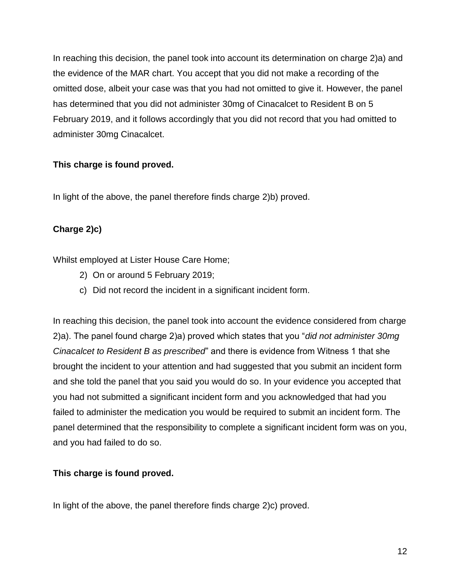In reaching this decision, the panel took into account its determination on charge 2)a) and the evidence of the MAR chart. You accept that you did not make a recording of the omitted dose, albeit your case was that you had not omitted to give it. However, the panel has determined that you did not administer 30mg of Cinacalcet to Resident B on 5 February 2019, and it follows accordingly that you did not record that you had omitted to administer 30mg Cinacalcet.

# **This charge is found proved.**

In light of the above, the panel therefore finds charge 2)b) proved.

# **Charge 2)c)**

Whilst employed at Lister House Care Home;

- 2) On or around 5 February 2019;
- c) Did not record the incident in a significant incident form.

In reaching this decision, the panel took into account the evidence considered from charge 2)a). The panel found charge 2)a) proved which states that you "*did not administer 30mg Cinacalcet to Resident B as prescribed*" and there is evidence from Witness 1 that she brought the incident to your attention and had suggested that you submit an incident form and she told the panel that you said you would do so. In your evidence you accepted that you had not submitted a significant incident form and you acknowledged that had you failed to administer the medication you would be required to submit an incident form. The panel determined that the responsibility to complete a significant incident form was on you, and you had failed to do so.

# **This charge is found proved.**

In light of the above, the panel therefore finds charge 2)c) proved.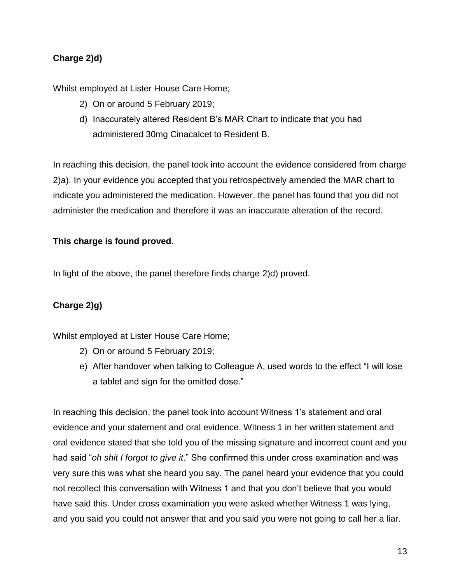# **Charge 2)d)**

Whilst employed at Lister House Care Home;

- 2) On or around 5 February 2019;
- d) Inaccurately altered Resident B's MAR Chart to indicate that you had administered 30mg Cinacalcet to Resident B.

In reaching this decision, the panel took into account the evidence considered from charge 2)a). In your evidence you accepted that you retrospectively amended the MAR chart to indicate you administered the medication. However, the panel has found that you did not administer the medication and therefore it was an inaccurate alteration of the record.

## **This charge is found proved.**

In light of the above, the panel therefore finds charge 2)d) proved.

# **Charge 2)g)**

Whilst employed at Lister House Care Home;

- 2) On or around 5 February 2019;
- e) After handover when talking to Colleague A, used words to the effect "I will lose a tablet and sign for the omitted dose."

In reaching this decision, the panel took into account Witness 1's statement and oral evidence and your statement and oral evidence. Witness 1 in her written statement and oral evidence stated that she told you of the missing signature and incorrect count and you had said "*oh shit I forgot to give it*." She confirmed this under cross examination and was very sure this was what she heard you say. The panel heard your evidence that you could not recollect this conversation with Witness 1 and that you don't believe that you would have said this. Under cross examination you were asked whether Witness 1 was lying, and you said you could not answer that and you said you were not going to call her a liar.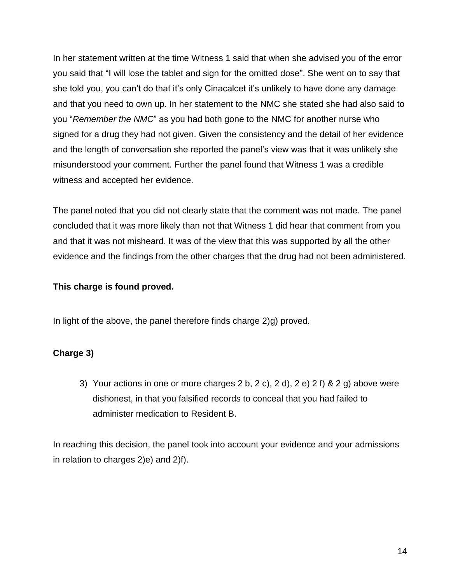In her statement written at the time Witness 1 said that when she advised you of the error you said that "I will lose the tablet and sign for the omitted dose". She went on to say that she told you, you can't do that it's only Cinacalcet it's unlikely to have done any damage and that you need to own up. In her statement to the NMC she stated she had also said to you "*Remember the NMC*" as you had both gone to the NMC for another nurse who signed for a drug they had not given. Given the consistency and the detail of her evidence and the length of conversation she reported the panel's view was that it was unlikely she misunderstood your comment. Further the panel found that Witness 1 was a credible witness and accepted her evidence.

The panel noted that you did not clearly state that the comment was not made. The panel concluded that it was more likely than not that Witness 1 did hear that comment from you and that it was not misheard. It was of the view that this was supported by all the other evidence and the findings from the other charges that the drug had not been administered.

## **This charge is found proved.**

In light of the above, the panel therefore finds charge 2)g) proved.

## **Charge 3)**

3) Your actions in one or more charges  $2 b$ ,  $2 c$ ,  $2 d$ ,  $2 e$ ,  $2 f$ ,  $8 2 g$ , above were dishonest, in that you falsified records to conceal that you had failed to administer medication to Resident B.

In reaching this decision, the panel took into account your evidence and your admissions in relation to charges 2)e) and 2)f).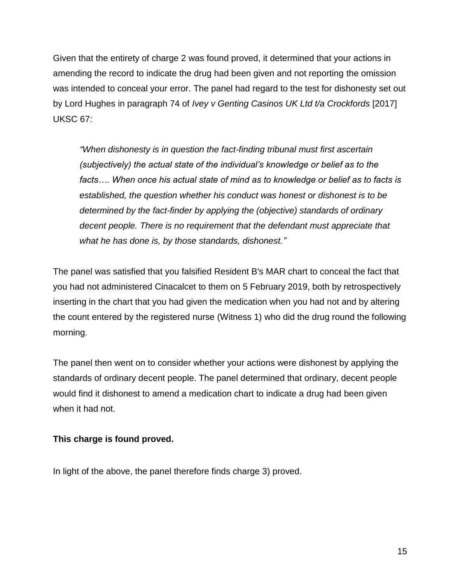Given that the entirety of charge 2 was found proved, it determined that your actions in amending the record to indicate the drug had been given and not reporting the omission was intended to conceal your error. The panel had regard to the test for dishonesty set out by Lord Hughes in paragraph 74 of *Ivey v Genting Casinos UK Ltd t/a Crockfords* [2017] UKSC 67:

*"When dishonesty is in question the fact-finding tribunal must first ascertain (subjectively) the actual state of the individual's knowledge or belief as to the*  facts.... When once his actual state of mind as to knowledge or belief as to facts is *established, the question whether his conduct was honest or dishonest is to be determined by the fact-finder by applying the (objective) standards of ordinary decent people. There is no requirement that the defendant must appreciate that what he has done is, by those standards, dishonest."*

The panel was satisfied that you falsified Resident B's MAR chart to conceal the fact that you had not administered Cinacalcet to them on 5 February 2019, both by retrospectively inserting in the chart that you had given the medication when you had not and by altering the count entered by the registered nurse (Witness 1) who did the drug round the following morning.

The panel then went on to consider whether your actions were dishonest by applying the standards of ordinary decent people. The panel determined that ordinary, decent people would find it dishonest to amend a medication chart to indicate a drug had been given when it had not.

## **This charge is found proved.**

In light of the above, the panel therefore finds charge 3) proved.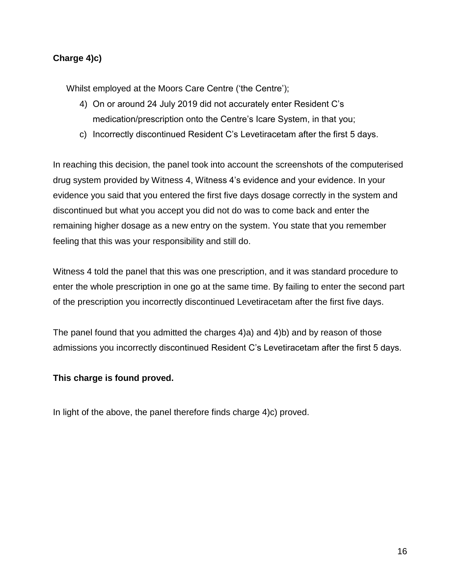# **Charge 4)c)**

Whilst employed at the Moors Care Centre ('the Centre');

- 4) On or around 24 July 2019 did not accurately enter Resident C's medication/prescription onto the Centre's Icare System, in that you;
- c) Incorrectly discontinued Resident C's Levetiracetam after the first 5 days.

In reaching this decision, the panel took into account the screenshots of the computerised drug system provided by Witness 4, Witness 4's evidence and your evidence. In your evidence you said that you entered the first five days dosage correctly in the system and discontinued but what you accept you did not do was to come back and enter the remaining higher dosage as a new entry on the system. You state that you remember feeling that this was your responsibility and still do.

Witness 4 told the panel that this was one prescription, and it was standard procedure to enter the whole prescription in one go at the same time. By failing to enter the second part of the prescription you incorrectly discontinued Levetiracetam after the first five days.

The panel found that you admitted the charges 4)a) and 4)b) and by reason of those admissions you incorrectly discontinued Resident C's Levetiracetam after the first 5 days.

## **This charge is found proved.**

In light of the above, the panel therefore finds charge 4)c) proved.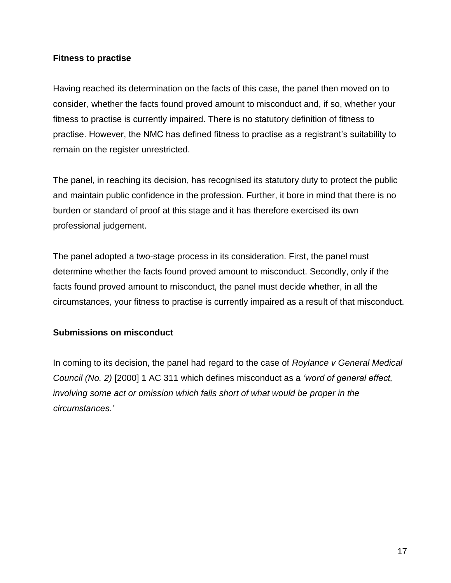#### **Fitness to practise**

Having reached its determination on the facts of this case, the panel then moved on to consider, whether the facts found proved amount to misconduct and, if so, whether your fitness to practise is currently impaired. There is no statutory definition of fitness to practise. However, the NMC has defined fitness to practise as a registrant's suitability to remain on the register unrestricted.

The panel, in reaching its decision, has recognised its statutory duty to protect the public and maintain public confidence in the profession. Further, it bore in mind that there is no burden or standard of proof at this stage and it has therefore exercised its own professional judgement.

The panel adopted a two-stage process in its consideration. First, the panel must determine whether the facts found proved amount to misconduct. Secondly, only if the facts found proved amount to misconduct, the panel must decide whether, in all the circumstances, your fitness to practise is currently impaired as a result of that misconduct.

## **Submissions on misconduct**

In coming to its decision, the panel had regard to the case of *Roylance v General Medical Council (No. 2)* [2000] 1 AC 311 which defines misconduct as a *'word of general effect, involving some act or omission which falls short of what would be proper in the circumstances.'*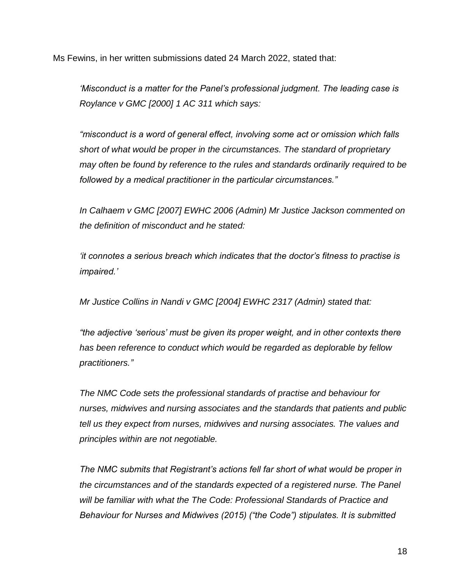Ms Fewins, in her written submissions dated 24 March 2022, stated that:

*'Misconduct is a matter for the Panel's professional judgment. The leading case is Roylance v GMC [2000] 1 AC 311 which says:*

*"misconduct is a word of general effect, involving some act or omission which falls short of what would be proper in the circumstances. The standard of proprietary may often be found by reference to the rules and standards ordinarily required to be followed by a medical practitioner in the particular circumstances."*

*In Calhaem v GMC [2007] EWHC 2006 (Admin) Mr Justice Jackson commented on the definition of misconduct and he stated:*

*'it connotes a serious breach which indicates that the doctor's fitness to practise is impaired.'*

*Mr Justice Collins in Nandi v GMC [2004] EWHC 2317 (Admin) stated that:* 

*"the adjective 'serious' must be given its proper weight, and in other contexts there has been reference to conduct which would be regarded as deplorable by fellow practitioners."*

*The NMC Code sets the professional standards of practise and behaviour for nurses, midwives and nursing associates and the standards that patients and public tell us they expect from nurses, midwives and nursing associates. The values and principles within are not negotiable.* 

*The NMC submits that Registrant's actions fell far short of what would be proper in the circumstances and of the standards expected of a registered nurse. The Panel will be familiar with what the The Code: Professional Standards of Practice and Behaviour for Nurses and Midwives (2015) ("the Code") stipulates. It is submitted*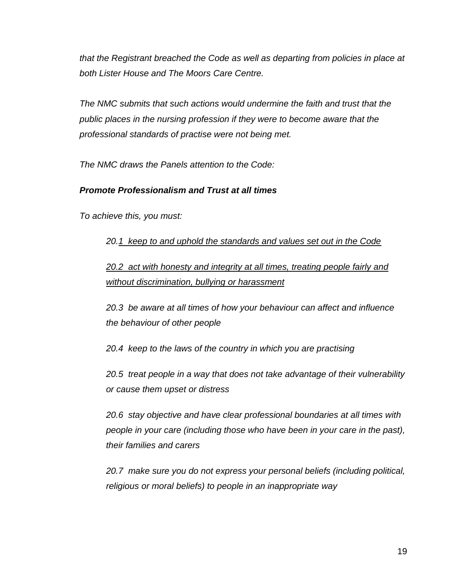*that the Registrant breached the Code as well as departing from policies in place at both Lister House and The Moors Care Centre.* 

*The NMC submits that such actions would undermine the faith and trust that the public places in the nursing profession if they were to become aware that the professional standards of practise were not being met.*

*The NMC draws the Panels attention to the Code:*

# *Promote Professionalism and Trust at all times*

*To achieve this, you must:* 

*20.1 keep to and uphold the standards and values set out in the Code*

*20.2 act with honesty and integrity at all times, treating people fairly and without discrimination, bullying or harassment* 

*20.3 be aware at all times of how your behaviour can affect and influence the behaviour of other people* 

*20.4 keep to the laws of the country in which you are practising* 

*20.5 treat people in a way that does not take advantage of their vulnerability or cause them upset or distress* 

*20.6 stay objective and have clear professional boundaries at all times with people in your care (including those who have been in your care in the past), their families and carers* 

*20.7 make sure you do not express your personal beliefs (including political, religious or moral beliefs) to people in an inappropriate way*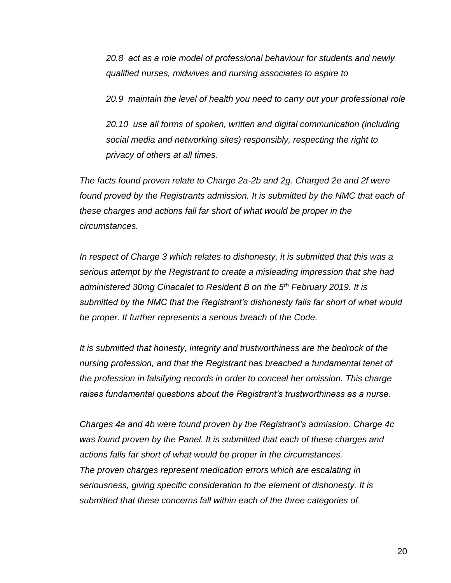*20.8 act as a role model of professional behaviour for students and newly qualified nurses, midwives and nursing associates to aspire to* 

*20.9 maintain the level of health you need to carry out your professional role* 

*20.10 use all forms of spoken, written and digital communication (including social media and networking sites) responsibly, respecting the right to privacy of others at all times.*

*The facts found proven relate to Charge 2a-2b and 2g. Charged 2e and 2f were*  found proved by the Registrants admission. It is submitted by the NMC that each of *these charges and actions fall far short of what would be proper in the circumstances.*

*In respect of Charge 3 which relates to dishonesty, it is submitted that this was a serious attempt by the Registrant to create a misleading impression that she had administered 30mg Cinacalet to Resident B on the 5th February 2019. It is submitted by the NMC that the Registrant's dishonesty falls far short of what would be proper. It further represents a serious breach of the Code.*

*It is submitted that honesty, integrity and trustworthiness are the bedrock of the nursing profession, and that the Registrant has breached a fundamental tenet of the profession in falsifying records in order to conceal her omission. This charge raises fundamental questions about the Registrant's trustworthiness as a nurse.*

*Charges 4a and 4b were found proven by the Registrant's admission. Charge 4c was found proven by the Panel. It is submitted that each of these charges and actions falls far short of what would be proper in the circumstances. The proven charges represent medication errors which are escalating in seriousness, giving specific consideration to the element of dishonesty. It is submitted that these concerns fall within each of the three categories of*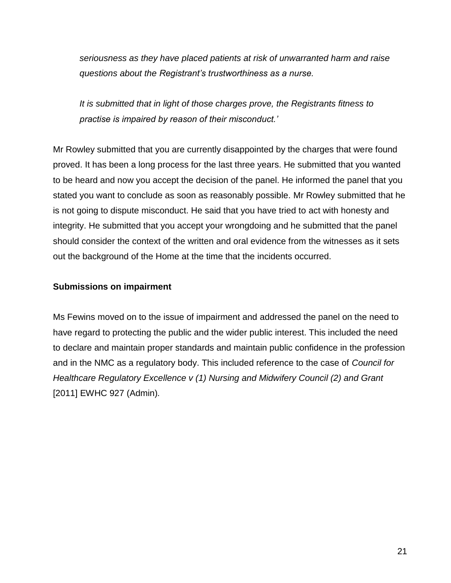*seriousness as they have placed patients at risk of unwarranted harm and raise questions about the Registrant's trustworthiness as a nurse.* 

*It is submitted that in light of those charges prove, the Registrants fitness to practise is impaired by reason of their misconduct.'*

Mr Rowley submitted that you are currently disappointed by the charges that were found proved. It has been a long process for the last three years. He submitted that you wanted to be heard and now you accept the decision of the panel. He informed the panel that you stated you want to conclude as soon as reasonably possible. Mr Rowley submitted that he is not going to dispute misconduct. He said that you have tried to act with honesty and integrity. He submitted that you accept your wrongdoing and he submitted that the panel should consider the context of the written and oral evidence from the witnesses as it sets out the background of the Home at the time that the incidents occurred.

#### **Submissions on impairment**

Ms Fewins moved on to the issue of impairment and addressed the panel on the need to have regard to protecting the public and the wider public interest. This included the need to declare and maintain proper standards and maintain public confidence in the profession and in the NMC as a regulatory body. This included reference to the case of *Council for Healthcare Regulatory Excellence v (1) Nursing and Midwifery Council (2) and Grant*  [2011] EWHC 927 (Admin)*.*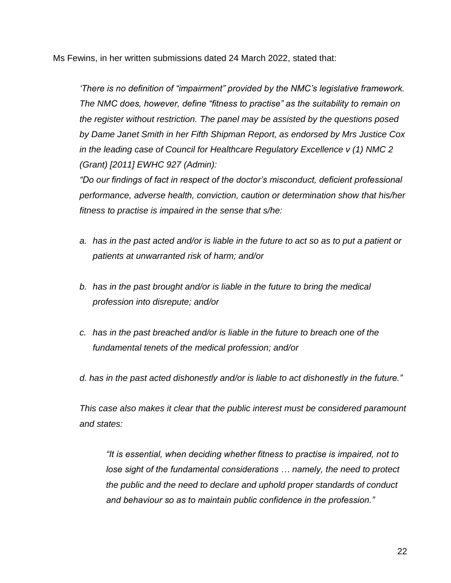Ms Fewins, in her written submissions dated 24 March 2022, stated that:

*'There is no definition of "impairment" provided by the NMC's legislative framework. The NMC does, however, define "fitness to practise" as the suitability to remain on the register without restriction. The panel may be assisted by the questions posed by Dame Janet Smith in her Fifth Shipman Report, as endorsed by Mrs Justice Cox in the leading case of Council for Healthcare Regulatory Excellence v (1) NMC 2 (Grant) [2011] EWHC 927 (Admin):*

*"Do our findings of fact in respect of the doctor's misconduct, deficient professional performance, adverse health, conviction, caution or determination show that his/her fitness to practise is impaired in the sense that s/he:*

- *a. has in the past acted and/or is liable in the future to act so as to put a patient or patients at unwarranted risk of harm; and/or*
- *b. has in the past brought and/or is liable in the future to bring the medical profession into disrepute; and/or*
- *c. has in the past breached and/or is liable in the future to breach one of the fundamental tenets of the medical profession; and/or*

*d. has in the past acted dishonestly and/or is liable to act dishonestly in the future."*

*This case also makes it clear that the public interest must be considered paramount and states:*

*"It is essential, when deciding whether fitness to practise is impaired, not to lose sight of the fundamental considerations … namely, the need to protect the public and the need to declare and uphold proper standards of conduct and behaviour so as to maintain public confidence in the profession."*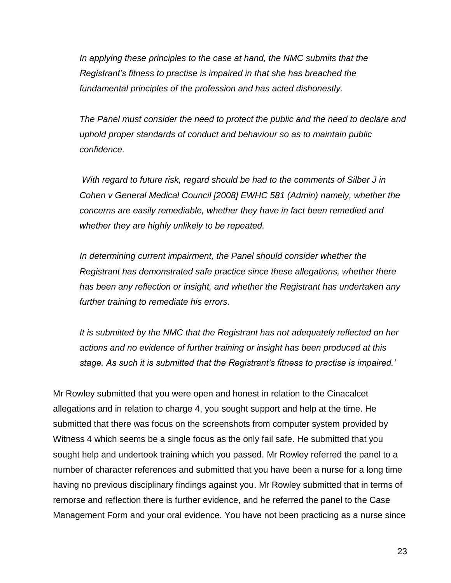*In applying these principles to the case at hand, the NMC submits that the Registrant's fitness to practise is impaired in that she has breached the fundamental principles of the profession and has acted dishonestly.* 

*The Panel must consider the need to protect the public and the need to declare and uphold proper standards of conduct and behaviour so as to maintain public confidence.* 

*With regard to future risk, regard should be had to the comments of Silber J in Cohen v General Medical Council [2008] EWHC 581 (Admin) namely, whether the concerns are easily remediable, whether they have in fact been remedied and whether they are highly unlikely to be repeated.*

*In determining current impairment, the Panel should consider whether the Registrant has demonstrated safe practice since these allegations, whether there has been any reflection or insight, and whether the Registrant has undertaken any further training to remediate his errors.*

*It is submitted by the NMC that the Registrant has not adequately reflected on her actions and no evidence of further training or insight has been produced at this stage. As such it is submitted that the Registrant's fitness to practise is impaired.'*

Mr Rowley submitted that you were open and honest in relation to the Cinacalcet allegations and in relation to charge 4, you sought support and help at the time. He submitted that there was focus on the screenshots from computer system provided by Witness 4 which seems be a single focus as the only fail safe. He submitted that you sought help and undertook training which you passed. Mr Rowley referred the panel to a number of character references and submitted that you have been a nurse for a long time having no previous disciplinary findings against you. Mr Rowley submitted that in terms of remorse and reflection there is further evidence, and he referred the panel to the Case Management Form and your oral evidence. You have not been practicing as a nurse since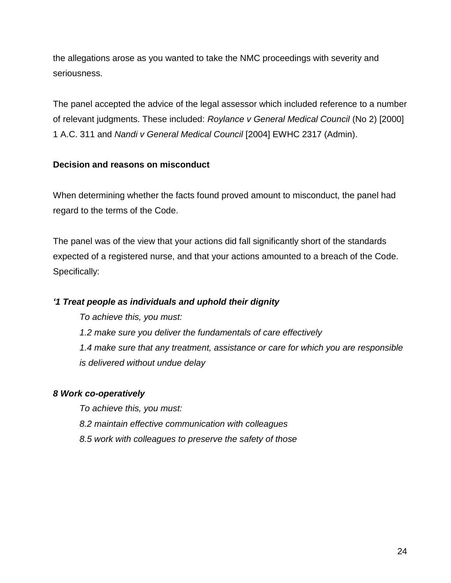the allegations arose as you wanted to take the NMC proceedings with severity and seriousness.

The panel accepted the advice of the legal assessor which included reference to a number of relevant judgments. These included: *Roylance v General Medical Council* (No 2) [2000] 1 A.C. 311 and *Nandi v General Medical Council* [2004] EWHC 2317 (Admin).

## **Decision and reasons on misconduct**

When determining whether the facts found proved amount to misconduct, the panel had regard to the terms of the Code.

The panel was of the view that your actions did fall significantly short of the standards expected of a registered nurse, and that your actions amounted to a breach of the Code. Specifically:

# *'1 Treat people as individuals and uphold their dignity*

*To achieve this, you must: 1.2 make sure you deliver the fundamentals of care effectively 1.4 make sure that any treatment, assistance or care for which you are responsible is delivered without undue delay* 

# *8 Work co-operatively*

*To achieve this, you must: 8.2 maintain effective communication with colleagues 8.5 work with colleagues to preserve the safety of those*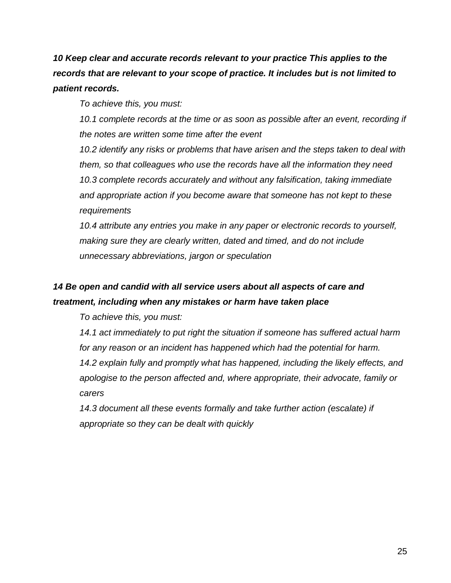*10 Keep clear and accurate records relevant to your practice This applies to the records that are relevant to your scope of practice. It includes but is not limited to patient records.* 

*To achieve this, you must:* 

10.1 complete records at the time or as soon as possible after an event, recording if *the notes are written some time after the event* 

*10.2 identify any risks or problems that have arisen and the steps taken to deal with them, so that colleagues who use the records have all the information they need 10.3 complete records accurately and without any falsification, taking immediate and appropriate action if you become aware that someone has not kept to these requirements* 

*10.4 attribute any entries you make in any paper or electronic records to yourself, making sure they are clearly written, dated and timed, and do not include unnecessary abbreviations, jargon or speculation*

# *14 Be open and candid with all service users about all aspects of care and treatment, including when any mistakes or harm have taken place*

*To achieve this, you must:* 

*14.1 act immediately to put right the situation if someone has suffered actual harm for any reason or an incident has happened which had the potential for harm.*

14.2 explain fully and promptly what has happened, including the likely effects, and *apologise to the person affected and, where appropriate, their advocate, family or carers* 

*14.3 document all these events formally and take further action (escalate) if appropriate so they can be dealt with quickly*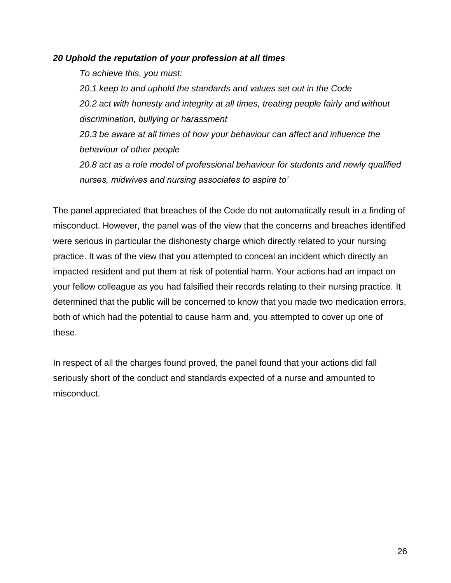#### *20 Uphold the reputation of your profession at all times*

*To achieve this, you must:* 

*20.1 keep to and uphold the standards and values set out in the Code 20.2 act with honesty and integrity at all times, treating people fairly and without discrimination, bullying or harassment* 

*20.3 be aware at all times of how your behaviour can affect and influence the behaviour of other people*

*20.8 act as a role model of professional behaviour for students and newly qualified nurses, midwives and nursing associates to aspire to'*

The panel appreciated that breaches of the Code do not automatically result in a finding of misconduct. However, the panel was of the view that the concerns and breaches identified were serious in particular the dishonesty charge which directly related to your nursing practice. It was of the view that you attempted to conceal an incident which directly an impacted resident and put them at risk of potential harm. Your actions had an impact on your fellow colleague as you had falsified their records relating to their nursing practice. It determined that the public will be concerned to know that you made two medication errors, both of which had the potential to cause harm and, you attempted to cover up one of these.

In respect of all the charges found proved, the panel found that your actions did fall seriously short of the conduct and standards expected of a nurse and amounted to misconduct.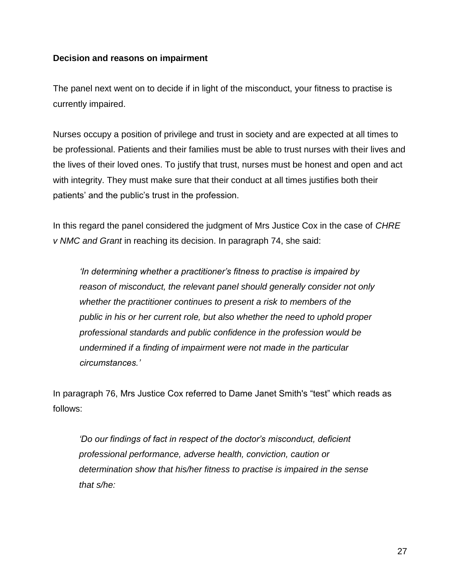#### **Decision and reasons on impairment**

The panel next went on to decide if in light of the misconduct, your fitness to practise is currently impaired.

Nurses occupy a position of privilege and trust in society and are expected at all times to be professional. Patients and their families must be able to trust nurses with their lives and the lives of their loved ones. To justify that trust, nurses must be honest and open and act with integrity. They must make sure that their conduct at all times justifies both their patients' and the public's trust in the profession.

In this regard the panel considered the judgment of Mrs Justice Cox in the case of *CHRE v NMC and Grant* in reaching its decision. In paragraph 74, she said:

*'In determining whether a practitioner's fitness to practise is impaired by reason of misconduct, the relevant panel should generally consider not only whether the practitioner continues to present a risk to members of the public in his or her current role, but also whether the need to uphold proper professional standards and public confidence in the profession would be undermined if a finding of impairment were not made in the particular circumstances.'*

In paragraph 76, Mrs Justice Cox referred to Dame Janet Smith's "test" which reads as follows:

*'Do our findings of fact in respect of the doctor's misconduct, deficient professional performance, adverse health, conviction, caution or determination show that his/her fitness to practise is impaired in the sense that s/he:*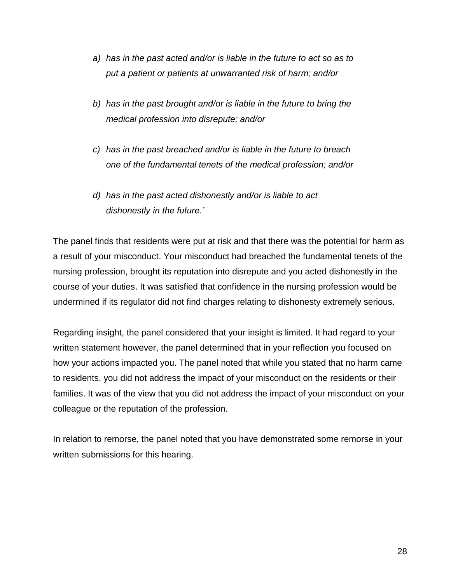- *a) has in the past acted and/or is liable in the future to act so as to put a patient or patients at unwarranted risk of harm; and/or*
- *b) has in the past brought and/or is liable in the future to bring the medical profession into disrepute; and/or*
- *c) has in the past breached and/or is liable in the future to breach one of the fundamental tenets of the medical profession; and/or*
- *d) has in the past acted dishonestly and/or is liable to act dishonestly in the future.'*

The panel finds that residents were put at risk and that there was the potential for harm as a result of your misconduct. Your misconduct had breached the fundamental tenets of the nursing profession, brought its reputation into disrepute and you acted dishonestly in the course of your duties. It was satisfied that confidence in the nursing profession would be undermined if its regulator did not find charges relating to dishonesty extremely serious.

Regarding insight, the panel considered that your insight is limited. It had regard to your written statement however, the panel determined that in your reflection you focused on how your actions impacted you. The panel noted that while you stated that no harm came to residents, you did not address the impact of your misconduct on the residents or their families. It was of the view that you did not address the impact of your misconduct on your colleague or the reputation of the profession.

In relation to remorse, the panel noted that you have demonstrated some remorse in your written submissions for this hearing.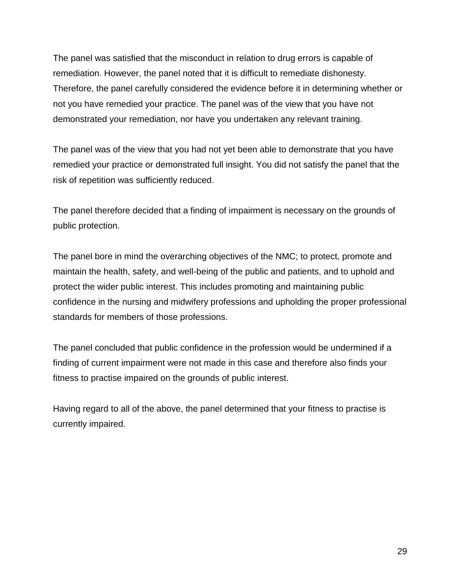The panel was satisfied that the misconduct in relation to drug errors is capable of remediation. However, the panel noted that it is difficult to remediate dishonesty. Therefore, the panel carefully considered the evidence before it in determining whether or not you have remedied your practice. The panel was of the view that you have not demonstrated your remediation, nor have you undertaken any relevant training.

The panel was of the view that you had not yet been able to demonstrate that you have remedied your practice or demonstrated full insight. You did not satisfy the panel that the risk of repetition was sufficiently reduced.

The panel therefore decided that a finding of impairment is necessary on the grounds of public protection.

The panel bore in mind the overarching objectives of the NMC; to protect, promote and maintain the health, safety, and well-being of the public and patients, and to uphold and protect the wider public interest. This includes promoting and maintaining public confidence in the nursing and midwifery professions and upholding the proper professional standards for members of those professions.

The panel concluded that public confidence in the profession would be undermined if a finding of current impairment were not made in this case and therefore also finds your fitness to practise impaired on the grounds of public interest.

Having regard to all of the above, the panel determined that your fitness to practise is currently impaired.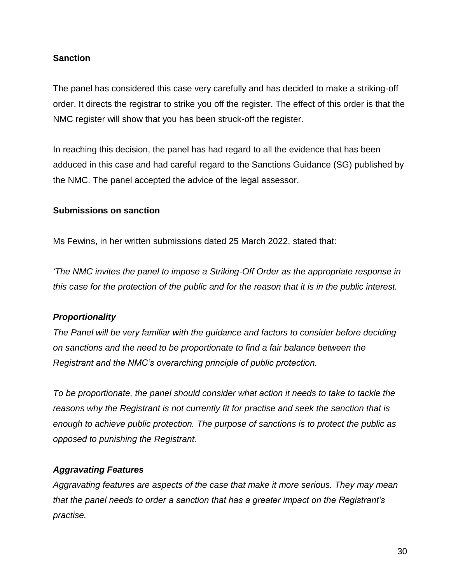## **Sanction**

The panel has considered this case very carefully and has decided to make a striking-off order. It directs the registrar to strike you off the register. The effect of this order is that the NMC register will show that you has been struck-off the register.

In reaching this decision, the panel has had regard to all the evidence that has been adduced in this case and had careful regard to the Sanctions Guidance (SG) published by the NMC. The panel accepted the advice of the legal assessor.

#### **Submissions on sanction**

Ms Fewins, in her written submissions dated 25 March 2022, stated that:

*'The NMC invites the panel to impose a Striking-Off Order as the appropriate response in this case for the protection of the public and for the reason that it is in the public interest.*

## *Proportionality*

*The Panel will be very familiar with the guidance and factors to consider before deciding on sanctions and the need to be proportionate to find a fair balance between the Registrant and the NMC's overarching principle of public protection.* 

*To be proportionate, the panel should consider what action it needs to take to tackle the reasons why the Registrant is not currently fit for practise and seek the sanction that is enough to achieve public protection. The purpose of sanctions is to protect the public as opposed to punishing the Registrant.* 

## *Aggravating Features*

*Aggravating features are aspects of the case that make it more serious. They may mean that the panel needs to order a sanction that has a greater impact on the Registrant's practise.*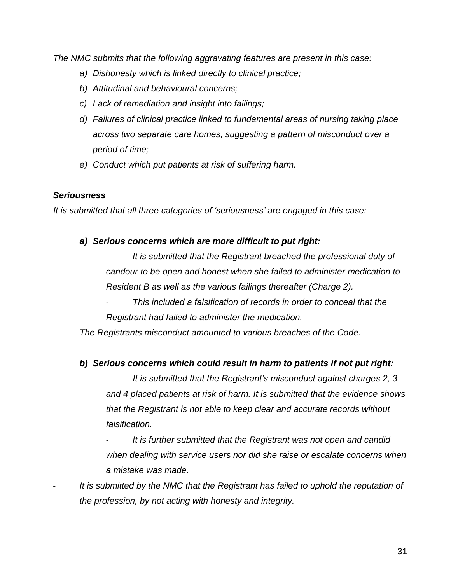*The NMC submits that the following aggravating features are present in this case:*

- *a) Dishonesty which is linked directly to clinical practice;*
- *b) Attitudinal and behavioural concerns;*
- *c) Lack of remediation and insight into failings;*
- *d) Failures of clinical practice linked to fundamental areas of nursing taking place across two separate care homes, suggesting a pattern of misconduct over a period of time;*
- *e) Conduct which put patients at risk of suffering harm.*

#### *Seriousness*

*It is submitted that all three categories of 'seriousness' are engaged in this case:*

#### *a) Serious concerns which are more difficult to put right:*

- *It is submitted that the Registrant breached the professional duty of candour to be open and honest when she failed to administer medication to Resident B as well as the various failings thereafter (Charge 2).* 

- *This included a falsification of records in order to conceal that the Registrant had failed to administer the medication.* 

- *The Registrants misconduct amounted to various breaches of the Code.*

#### *b) Serious concerns which could result in harm to patients if not put right:*

It is submitted that the Registrant's misconduct against charges 2, 3 *and 4 placed patients at risk of harm. It is submitted that the evidence shows that the Registrant is not able to keep clear and accurate records without falsification.* 

- *It is further submitted that the Registrant was not open and candid when dealing with service users nor did she raise or escalate concerns when a mistake was made.* 

It is submitted by the NMC that the Registrant has failed to uphold the reputation of *the profession, by not acting with honesty and integrity.*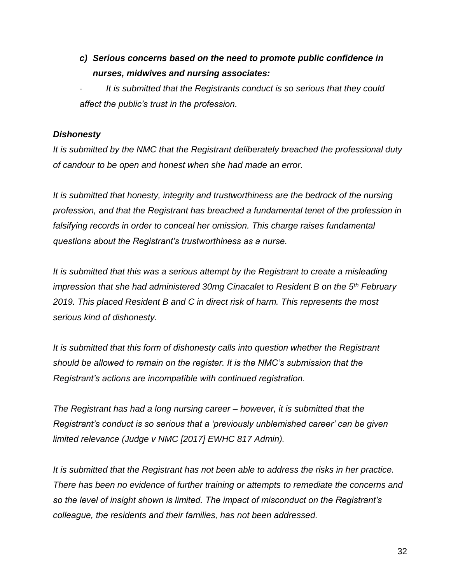*c) Serious concerns based on the need to promote public confidence in nurses, midwives and nursing associates:*

It is submitted that the Registrants conduct is so serious that they could *affect the public's trust in the profession.* 

## *Dishonesty*

*It is submitted by the NMC that the Registrant deliberately breached the professional duty of candour to be open and honest when she had made an error.*

*It is submitted that honesty, integrity and trustworthiness are the bedrock of the nursing profession, and that the Registrant has breached a fundamental tenet of the profession in falsifying records in order to conceal her omission. This charge raises fundamental questions about the Registrant's trustworthiness as a nurse.* 

*It is submitted that this was a serious attempt by the Registrant to create a misleading impression that she had administered 30mg Cinacalet to Resident B on the 5th February 2019. This placed Resident B and C in direct risk of harm. This represents the most serious kind of dishonesty.*

*It is submitted that this form of dishonesty calls into question whether the Registrant should be allowed to remain on the register. It is the NMC's submission that the Registrant's actions are incompatible with continued registration.*

*The Registrant has had a long nursing career – however, it is submitted that the Registrant's conduct is so serious that a 'previously unblemished career' can be given limited relevance (Judge v NMC [2017] EWHC 817 Admin).*

*It is submitted that the Registrant has not been able to address the risks in her practice. There has been no evidence of further training or attempts to remediate the concerns and so the level of insight shown is limited. The impact of misconduct on the Registrant's colleague, the residents and their families, has not been addressed.*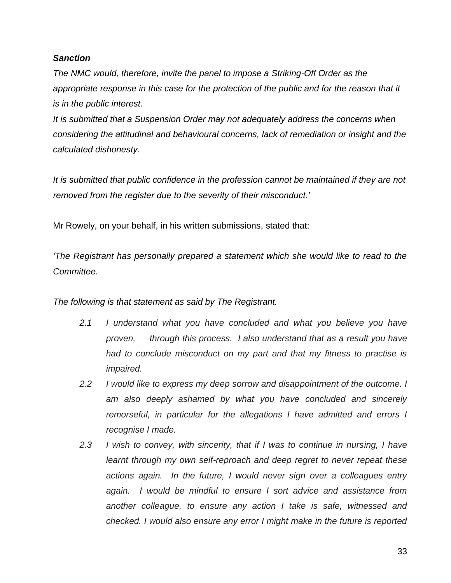#### *Sanction*

*The NMC would, therefore, invite the panel to impose a Striking-Off Order as the*  appropriate response in this case for the protection of the public and for the reason that it *is in the public interest.* 

*It is submitted that a Suspension Order may not adequately address the concerns when considering the attitudinal and behavioural concerns, lack of remediation or insight and the calculated dishonesty.*

*It is submitted that public confidence in the profession cannot be maintained if they are not removed from the register due to the severity of their misconduct.'*

Mr Rowely, on your behalf, in his written submissions, stated that:

*'The Registrant has personally prepared a statement which she would like to read to the Committee.* 

*The following is that statement as said by The Registrant.*

- *2.1 I understand what you have concluded and what you believe you have proven, through this process. I also understand that as a result you have had to conclude misconduct on my part and that my fitness to practise is impaired.*
- *2.2 I would like to express my deep sorrow and disappointment of the outcome. I am also deeply ashamed by what you have concluded and sincerely remorseful, in particular for the allegations I have admitted and errors I recognise I made.*
- *2.3 I wish to convey, with sincerity, that if I was to continue in nursing, I have learnt through my own self-reproach and deep regret to never repeat these actions again. In the future, I would never sign over a colleagues entry again. I would be mindful to ensure I sort advice and assistance from another colleague, to ensure any action I take is safe, witnessed and checked. I would also ensure any error I might make in the future is reported*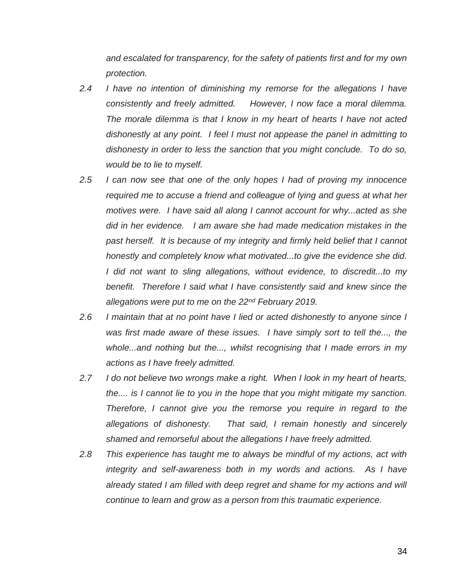*and escalated for transparency, for the safety of patients first and for my own protection.*

- *2.4 I have no intention of diminishing my remorse for the allegations I have consistently and freely admitted. However, I now face a moral dilemma. The morale dilemma is that I know in my heart of hearts I have not acted dishonestly at any point. I feel I must not appease the panel in admitting to dishonesty in order to less the sanction that you might conclude. To do so, would be to lie to myself.*
- *2.5 I can now see that one of the only hopes I had of proving my innocence required me to accuse a friend and colleague of lying and guess at what her motives were. I have said all along I cannot account for why...acted as she did in her evidence. I am aware she had made medication mistakes in the past herself. It is because of my integrity and firmly held belief that I cannot honestly and completely know what motivated...to give the evidence she did. I did not want to sling allegations, without evidence, to discredit...to my benefit. Therefore I said what I have consistently said and knew since the allegations were put to me on the 22nd February 2019.*
- *2.6 I maintain that at no point have I lied or acted dishonestly to anyone since I was first made aware of these issues. I have simply sort to tell the..., the whole...and nothing but the..., whilst recognising that I made errors in my actions as I have freely admitted.*
- *2.7 I do not believe two wrongs make a right. When I look in my heart of hearts, the.... is I cannot lie to you in the hope that you might mitigate my sanction. Therefore, I cannot give you the remorse you require in regard to the allegations of dishonesty. That said, I remain honestly and sincerely shamed and remorseful about the allegations I have freely admitted.*
- *2.8 This experience has taught me to always be mindful of my actions, act with integrity and self-awareness both in my words and actions. As I have already stated I am filled with deep regret and shame for my actions and will continue to learn and grow as a person from this traumatic experience.*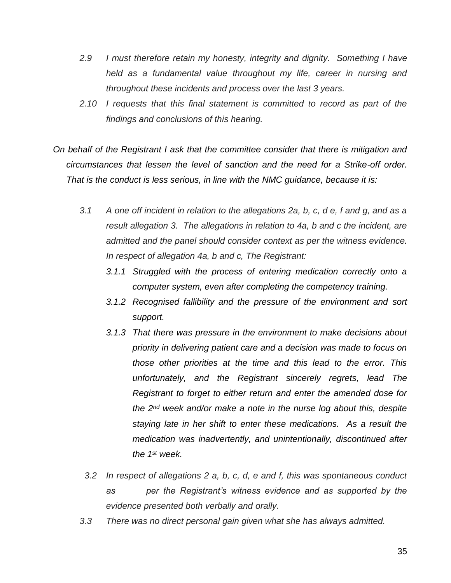- *2.9 I must therefore retain my honesty, integrity and dignity. Something I have held as a fundamental value throughout my life, career in nursing and throughout these incidents and process over the last 3 years.*
- *2.10 I requests that this final statement is committed to record as part of the findings and conclusions of this hearing.*
- *On behalf of the Registrant I ask that the committee consider that there is mitigation and circumstances that lessen the level of sanction and the need for a Strike-off order. That is the conduct is less serious, in line with the NMC guidance, because it is:*
	- *3.1 A one off incident in relation to the allegations 2a, b, c, d e, f and g, and as a result allegation 3. The allegations in relation to 4a, b and c the incident, are admitted and the panel should consider context as per the witness evidence. In respect of allegation 4a, b and c, The Registrant:*
		- *3.1.1 Struggled with the process of entering medication correctly onto a computer system, even after completing the competency training.*
		- *3.1.2 Recognised fallibility and the pressure of the environment and sort support.*
		- *3.1.3 That there was pressure in the environment to make decisions about priority in delivering patient care and a decision was made to focus on those other priorities at the time and this lead to the error. This unfortunately, and the Registrant sincerely regrets, lead The Registrant to forget to either return and enter the amended dose for the 2nd week and/or make a note in the nurse log about this, despite staying late in her shift to enter these medications. As a result the medication was inadvertently, and unintentionally, discontinued after the 1st week.*
		- *3.2 In respect of allegations 2 a, b, c, d, e and f, this was spontaneous conduct as per the Registrant's witness evidence and as supported by the evidence presented both verbally and orally.*
	- *3.3 There was no direct personal gain given what she has always admitted.*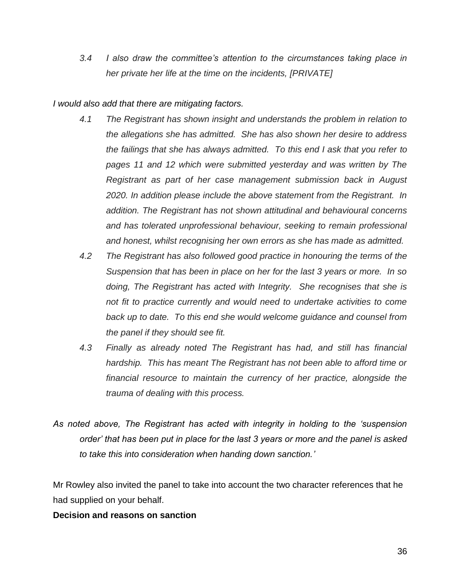*3.4 I also draw the committee's attention to the circumstances taking place in her private her life at the time on the incidents, [PRIVATE]*

*I would also add that there are mitigating factors.* 

- *4.1 The Registrant has shown insight and understands the problem in relation to the allegations she has admitted. She has also shown her desire to address the failings that she has always admitted. To this end I ask that you refer to pages 11 and 12 which were submitted yesterday and was written by The Registrant as part of her case management submission back in August 2020. In addition please include the above statement from the Registrant. In addition. The Registrant has not shown attitudinal and behavioural concerns and has tolerated unprofessional behaviour, seeking to remain professional and honest, whilst recognising her own errors as she has made as admitted.*
- *4.2 The Registrant has also followed good practice in honouring the terms of the Suspension that has been in place on her for the last 3 years or more. In so doing, The Registrant has acted with Integrity. She recognises that she is not fit to practice currently and would need to undertake activities to come back up to date. To this end she would welcome guidance and counsel from the panel if they should see fit.*
- *4.3 Finally as already noted The Registrant has had, and still has financial hardship. This has meant The Registrant has not been able to afford time or financial resource to maintain the currency of her practice, alongside the trauma of dealing with this process.*
- *As noted above, The Registrant has acted with integrity in holding to the 'suspension order' that has been put in place for the last 3 years or more and the panel is asked to take this into consideration when handing down sanction.'*

Mr Rowley also invited the panel to take into account the two character references that he had supplied on your behalf.

## **Decision and reasons on sanction**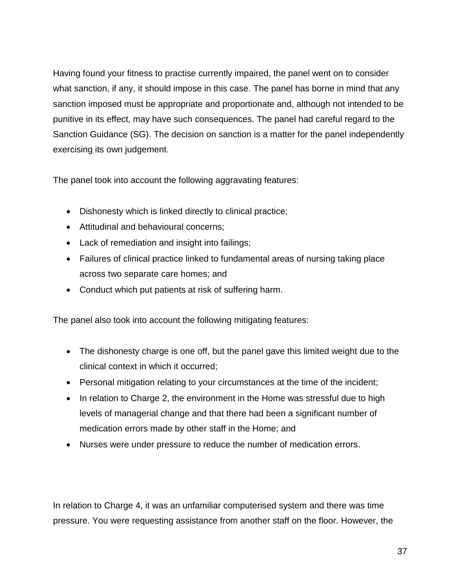Having found your fitness to practise currently impaired, the panel went on to consider what sanction, if any, it should impose in this case. The panel has borne in mind that any sanction imposed must be appropriate and proportionate and, although not intended to be punitive in its effect, may have such consequences. The panel had careful regard to the Sanction Guidance (SG). The decision on sanction is a matter for the panel independently exercising its own judgement.

The panel took into account the following aggravating features:

- Dishonesty which is linked directly to clinical practice;
- Attitudinal and behavioural concerns;
- Lack of remediation and insight into failings;
- Failures of clinical practice linked to fundamental areas of nursing taking place across two separate care homes; and
- Conduct which put patients at risk of suffering harm.

The panel also took into account the following mitigating features:

- The dishonesty charge is one off, but the panel gave this limited weight due to the clinical context in which it occurred;
- Personal mitigation relating to your circumstances at the time of the incident;
- In relation to Charge 2, the environment in the Home was stressful due to high levels of managerial change and that there had been a significant number of medication errors made by other staff in the Home; and
- Nurses were under pressure to reduce the number of medication errors.

In relation to Charge 4, it was an unfamiliar computerised system and there was time pressure. You were requesting assistance from another staff on the floor. However, the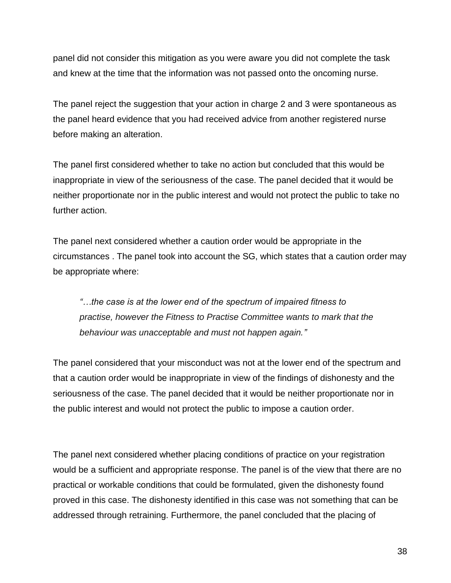panel did not consider this mitigation as you were aware you did not complete the task and knew at the time that the information was not passed onto the oncoming nurse.

The panel reject the suggestion that your action in charge 2 and 3 were spontaneous as the panel heard evidence that you had received advice from another registered nurse before making an alteration.

The panel first considered whether to take no action but concluded that this would be inappropriate in view of the seriousness of the case. The panel decided that it would be neither proportionate nor in the public interest and would not protect the public to take no further action.

The panel next considered whether a caution order would be appropriate in the circumstances . The panel took into account the SG, which states that a caution order may be appropriate where:

*"…the case is at the lower end of the spectrum of impaired fitness to practise, however the Fitness to Practise Committee wants to mark that the behaviour was unacceptable and must not happen again."*

The panel considered that your misconduct was not at the lower end of the spectrum and that a caution order would be inappropriate in view of the findings of dishonesty and the seriousness of the case. The panel decided that it would be neither proportionate nor in the public interest and would not protect the public to impose a caution order.

The panel next considered whether placing conditions of practice on your registration would be a sufficient and appropriate response. The panel is of the view that there are no practical or workable conditions that could be formulated, given the dishonesty found proved in this case. The dishonesty identified in this case was not something that can be addressed through retraining. Furthermore, the panel concluded that the placing of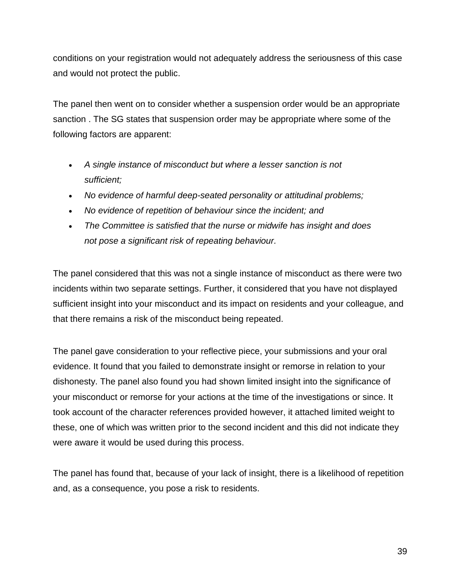conditions on your registration would not adequately address the seriousness of this case and would not protect the public.

The panel then went on to consider whether a suspension order would be an appropriate sanction . The SG states that suspension order may be appropriate where some of the following factors are apparent:

- *A single instance of misconduct but where a lesser sanction is not sufficient;*
- *No evidence of harmful deep-seated personality or attitudinal problems;*
- *No evidence of repetition of behaviour since the incident; and*
- *The Committee is satisfied that the nurse or midwife has insight and does not pose a significant risk of repeating behaviour.*

The panel considered that this was not a single instance of misconduct as there were two incidents within two separate settings. Further, it considered that you have not displayed sufficient insight into your misconduct and its impact on residents and your colleague, and that there remains a risk of the misconduct being repeated.

The panel gave consideration to your reflective piece, your submissions and your oral evidence. It found that you failed to demonstrate insight or remorse in relation to your dishonesty. The panel also found you had shown limited insight into the significance of your misconduct or remorse for your actions at the time of the investigations or since. It took account of the character references provided however, it attached limited weight to these, one of which was written prior to the second incident and this did not indicate they were aware it would be used during this process.

The panel has found that, because of your lack of insight, there is a likelihood of repetition and, as a consequence, you pose a risk to residents.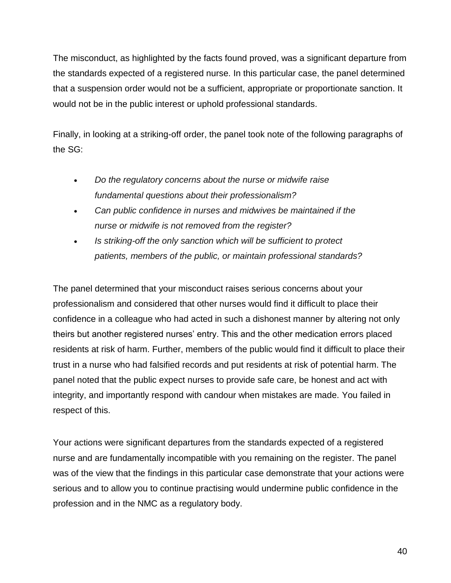The misconduct, as highlighted by the facts found proved, was a significant departure from the standards expected of a registered nurse. In this particular case, the panel determined that a suspension order would not be a sufficient, appropriate or proportionate sanction. It would not be in the public interest or uphold professional standards.

Finally, in looking at a striking-off order, the panel took note of the following paragraphs of the SG:

- *Do the regulatory concerns about the nurse or midwife raise fundamental questions about their professionalism?*
- *Can public confidence in nurses and midwives be maintained if the nurse or midwife is not removed from the register?*
- *Is striking-off the only sanction which will be sufficient to protect patients, members of the public, or maintain professional standards?*

The panel determined that your misconduct raises serious concerns about your professionalism and considered that other nurses would find it difficult to place their confidence in a colleague who had acted in such a dishonest manner by altering not only theirs but another registered nurses' entry. This and the other medication errors placed residents at risk of harm. Further, members of the public would find it difficult to place their trust in a nurse who had falsified records and put residents at risk of potential harm. The panel noted that the public expect nurses to provide safe care, be honest and act with integrity, and importantly respond with candour when mistakes are made. You failed in respect of this.

Your actions were significant departures from the standards expected of a registered nurse and are fundamentally incompatible with you remaining on the register. The panel was of the view that the findings in this particular case demonstrate that your actions were serious and to allow you to continue practising would undermine public confidence in the profession and in the NMC as a regulatory body.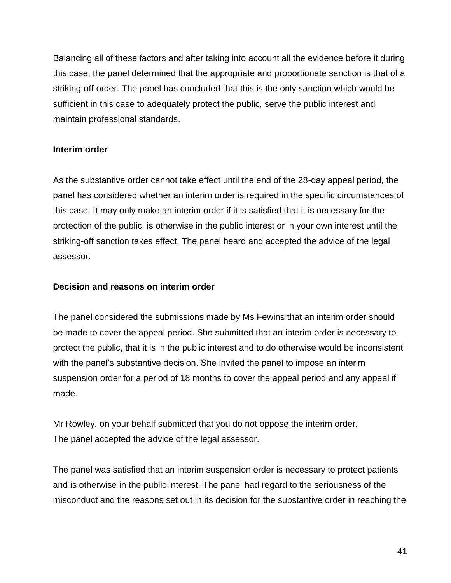Balancing all of these factors and after taking into account all the evidence before it during this case, the panel determined that the appropriate and proportionate sanction is that of a striking-off order. The panel has concluded that this is the only sanction which would be sufficient in this case to adequately protect the public, serve the public interest and maintain professional standards.

## **Interim order**

As the substantive order cannot take effect until the end of the 28-day appeal period, the panel has considered whether an interim order is required in the specific circumstances of this case. It may only make an interim order if it is satisfied that it is necessary for the protection of the public, is otherwise in the public interest or in your own interest until the striking-off sanction takes effect. The panel heard and accepted the advice of the legal assessor.

#### **Decision and reasons on interim order**

The panel considered the submissions made by Ms Fewins that an interim order should be made to cover the appeal period. She submitted that an interim order is necessary to protect the public, that it is in the public interest and to do otherwise would be inconsistent with the panel's substantive decision. She invited the panel to impose an interim suspension order for a period of 18 months to cover the appeal period and any appeal if made.

Mr Rowley, on your behalf submitted that you do not oppose the interim order. The panel accepted the advice of the legal assessor.

The panel was satisfied that an interim suspension order is necessary to protect patients and is otherwise in the public interest. The panel had regard to the seriousness of the misconduct and the reasons set out in its decision for the substantive order in reaching the